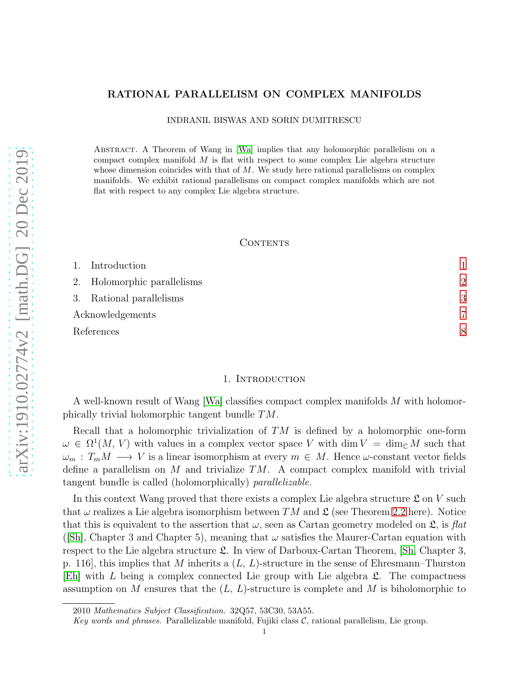# RATIONAL PARALLELISM ON COMPLEX MANIFOLDS

INDRANIL BISWAS AND SORIN DUMITRESCU

Abstract. A Theorem of Wang in [\[Wa\]](#page-7-0) implies that any holomorphic parallelism on a compact complex manifold  $M$  is flat with respect to some complex Lie algebra structure whose dimension coincides with that of  $M$ . We study here rational parallelisms on complex manifolds. We exhibit rational parallelisms on compact complex manifolds which are not flat with respect to any complex Lie algebra structure.

### **CONTENTS**

|                  | 1. Introduction             |                |
|------------------|-----------------------------|----------------|
|                  | 2. Holomorphic parallelisms | $\mathcal{D}$  |
|                  | 3. Rational parallelisms    | 3              |
| Acknowledgements |                             | $\overline{7}$ |
|                  | References                  |                |

## 1. INTRODUCTION

<span id="page-0-0"></span>A well-known result of Wang [\[Wa\]](#page-7-0) classifies compact complex manifolds M with holomorphically trivial holomorphic tangent bundle TM.

Recall that a holomorphic trivialization of  $TM$  is defined by a holomorphic one-form  $\omega \in \Omega^1(M, V)$  with values in a complex vector space V with  $\dim V = \dim_{\mathbb{C}} M$  such that  $\omega_m : T_m M \longrightarrow V$  is a linear isomorphism at every  $m \in M$ . Hence  $\omega$ -constant vector fields define a parallelism on M and trivialize  $TM$ . A compact complex manifold with trivial tangent bundle is called (holomorphically) parallelizable.

In this context Wang proved that there exists a complex Lie algebra structure  $\mathfrak L$  on V such that  $\omega$  realizes a Lie algebra isomorphism between TM and  $\mathfrak{L}$  (see Theorem [2.2](#page-1-1) here). Notice that this is equivalent to the assertion that  $\omega$ , seen as Cartan geometry modeled on  $\mathfrak{L}$ , is flat ([\[Sh\]](#page-7-2), Chapter 3 and Chapter 5), meaning that  $\omega$  satisfies the Maurer-Cartan equation with respect to the Lie algebra structure  $\mathfrak{L}$ . In view of Darboux-Cartan Theorem, [\[Sh,](#page-7-2) Chapter 3, p. 116, this implies that M inherits a  $(L, L)$ -structure in the sense of Ehresmann–Thurston  $[Eh]$  with L being a complex connected Lie group with Lie algebra  $\mathfrak{L}$ . The compactness assumption on M ensures that the  $(L, L)$ -structure is complete and M is biholomorphic to

<sup>2010</sup> Mathematics Subject Classification. 32Q57, 53C30, 53A55.

Key words and phrases. Parallelizable manifold, Fujiki class  $C$ , rational parallelism, Lie group.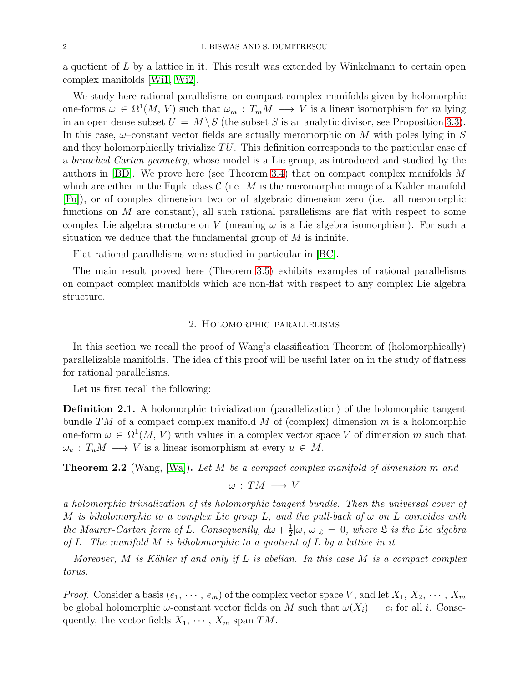a quotient of L by a lattice in it. This result was extended by Winkelmann to certain open complex manifolds [\[Wi1,](#page-7-4) [Wi2\]](#page-7-5).

We study here rational parallelisms on compact complex manifolds given by holomorphic one-forms  $\omega \in \Omega^1(M, V)$  such that  $\omega_m : T_m M \longrightarrow V$  is a linear isomorphism for m lying in an open dense subset  $U = M \setminus S$  (the subset S is an analytic divisor, see Proposition [3.3\)](#page-3-0). In this case,  $\omega$ -constant vector fields are actually meromorphic on M with poles lying in S and they holomorphically trivialize  $TU$ . This definition corresponds to the particular case of a branched Cartan geometry, whose model is a Lie group, as introduced and studied by the authors in [\[BD\]](#page-7-6). We prove here (see Theorem [3.4\)](#page-3-1) that on compact complex manifolds M which are either in the Fujiki class  $\mathcal C$  (i.e. M is the meromorphic image of a Kähler manifold [\[Fu\]](#page-7-7)), or of complex dimension two or of algebraic dimension zero (i.e. all meromorphic functions on  $M$  are constant), all such rational parallelisms are flat with respect to some complex Lie algebra structure on V (meaning  $\omega$  is a Lie algebra isomorphism). For such a situation we deduce that the fundamental group of  $M$  is infinite.

Flat rational parallelisms were studied in particular in [\[BC\]](#page-7-8).

<span id="page-1-0"></span>The main result proved here (Theorem [3.5\)](#page-5-0) exhibits examples of rational parallelisms on compact complex manifolds which are non-flat with respect to any complex Lie algebra structure.

### 2. Holomorphic parallelisms

In this section we recall the proof of Wang's classification Theorem of (holomorphically) parallelizable manifolds. The idea of this proof will be useful later on in the study of flatness for rational parallelisms.

Let us first recall the following:

Definition 2.1. A holomorphic trivialization (parallelization) of the holomorphic tangent bundle  $TM$  of a compact complex manifold M of (complex) dimension m is a holomorphic one-form  $\omega \in \Omega^1(M, V)$  with values in a complex vector space V of dimension m such that  $\omega_u : T_u M \longrightarrow V$  is a linear isomorphism at every  $u \in M$ .

<span id="page-1-1"></span>**Theorem 2.2** (Wang, [\[Wa\]](#page-7-0)). Let M be a compact complex manifold of dimension m and

 $\omega : TM \longrightarrow V$ 

a holomorphic trivialization of its holomorphic tangent bundle. Then the universal cover of M is biholomorphic to a complex Lie group L, and the pull-back of  $\omega$  on L coincides with the Maurer-Cartan form of L. Consequently,  $d\omega + \frac{1}{2}$  $\frac{1}{2}[\omega, \omega]_{\mathfrak{L}} = 0$ , where  $\mathfrak{L}$  is the Lie algebra of L. The manifold M is biholomorphic to a quotient of L by a lattice in it.

Moreover, M is Kähler if and only if L is abelian. In this case M is a compact complex torus.

*Proof.* Consider a basis  $(e_1, \dots, e_m)$  of the complex vector space V, and let  $X_1, X_2, \dots, X_m$ be global holomorphic  $\omega$ -constant vector fields on M such that  $\omega(X_i) = e_i$  for all i. Consequently, the vector fields  $X_1, \cdots, X_m$  span  $TM$ .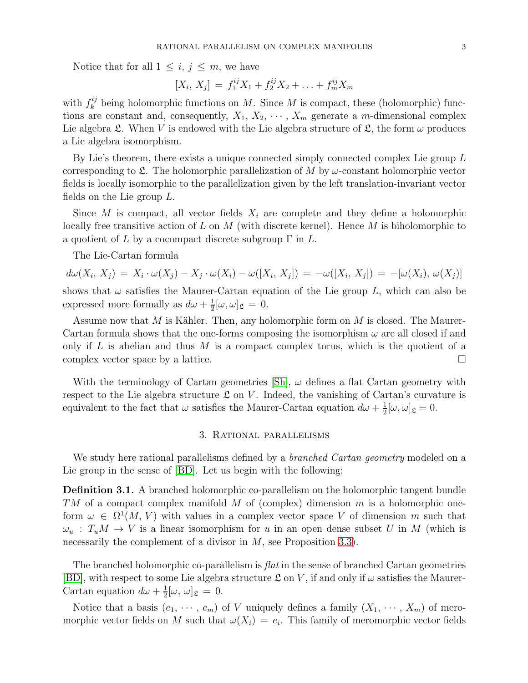Notice that for all  $1 \leq i, j \leq m$ , we have

$$
[X_i, X_j] = f_1^{ij} X_1 + f_2^{ij} X_2 + \ldots + f_m^{ij} X_m
$$

with  $f_k^{ij}$  being holomorphic functions on M. Since M is compact, these (holomorphic) functions are constant and, consequently,  $X_1, X_2, \cdots, X_m$  generate a m-dimensional complex Lie algebra  $\mathfrak{L}$ . When V is endowed with the Lie algebra structure of  $\mathfrak{L}$ , the form  $\omega$  produces a Lie algebra isomorphism.

By Lie's theorem, there exists a unique connected simply connected complex Lie group L corresponding to  $\mathfrak{L}$ . The holomorphic parallelization of M by  $\omega$ -constant holomorphic vector fields is locally isomorphic to the parallelization given by the left translation-invariant vector fields on the Lie group L.

Since M is compact, all vector fields  $X_i$  are complete and they define a holomorphic locally free transitive action of L on M (with discrete kernel). Hence M is biholomorphic to a quotient of L by a cocompact discrete subgroup  $\Gamma$  in L.

The Lie-Cartan formula

$$
d\omega(X_i, X_j) = X_i \cdot \omega(X_j) - X_j \cdot \omega(X_i) - \omega([X_i, X_j]) = -\omega([X_i, X_j]) = -[\omega(X_i), \omega(X_j)]
$$
  
shows that  $\omega$  satisfies the Maurer-Cartan equation of the Lie group *L*, which can also be

expressed more formally as  $d\omega + \frac{1}{2}$  $\frac{1}{2}[\omega,\omega]_{\mathfrak{L}} = 0.$ 

Assume now that  $M$  is Kähler. Then, any holomorphic form on  $M$  is closed. The Maurer-Cartan formula shows that the one-forms composing the isomorphism  $\omega$  are all closed if and only if L is abelian and thus M is a compact complex torus, which is the quotient of a complex vector space by a lattice.  $\Box$ 

<span id="page-2-0"></span>With the terminology of Cartan geometries  $|\text{Sh}|$ ,  $\omega$  defines a flat Cartan geometry with respect to the Lie algebra structure  $\mathfrak L$  on V. Indeed, the vanishing of Cartan's curvature is equivalent to the fact that  $\omega$  satisfies the Maurer-Cartan equation  $d\omega + \frac{1}{2}$  $\frac{1}{2}[\omega,\omega]_{\mathfrak{L}}=0.$ 

### 3. Rational parallelisms

We study here rational parallelisms defined by a *branched Cartan geometry* modeled on a Lie group in the sense of [\[BD\]](#page-7-6). Let us begin with the following:

**Definition 3.1.** A branched holomorphic co-parallelism on the holomorphic tangent bundle  $TM$  of a compact complex manifold M of (complex) dimension m is a holomorphic oneform  $\omega \in \Omega^1(M, V)$  with values in a complex vector space V of dimension m such that  $\omega_u : T_u M \to V$  is a linear isomorphism for u in an open dense subset U in M (which is necessarily the complement of a divisor in M, see Proposition [3.3\)](#page-3-0).

The branched holomorphic co-parallelism is  $flat$  in the sense of branched Cartan geometries [\[BD\]](#page-7-6), with respect to some Lie algebra structure  $\mathfrak L$  on V, if and only if  $\omega$  satisfies the Maurer-Cartan equation  $d\omega + \frac{1}{2}$  $\frac{1}{2}[\omega, \omega]_{\mathfrak{L}} = 0.$ 

Notice that a basis  $(e_1, \dots, e_m)$  of V uniquely defines a family  $(X_1, \dots, X_m)$  of meromorphic vector fields on M such that  $\omega(X_i) = e_i$ . This family of meromorphic vector fields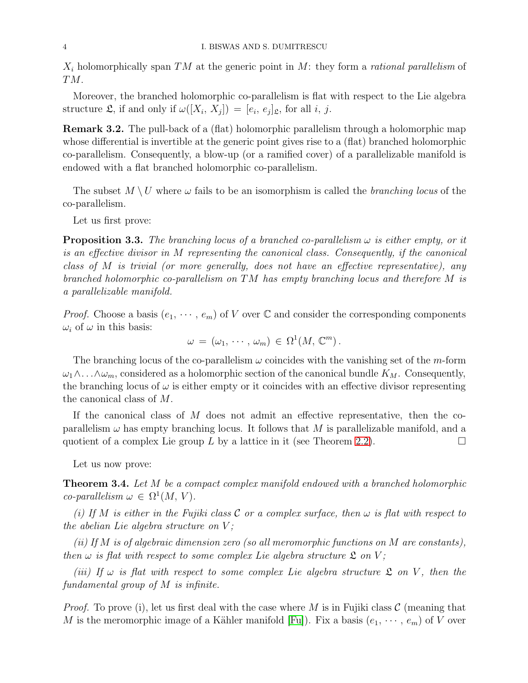$X_i$  holomorphically span TM at the generic point in M: they form a rational parallelism of TM.

Moreover, the branched holomorphic co-parallelism is flat with respect to the Lie algebra structure  $\mathfrak{L}$ , if and only if  $\omega([X_i, X_j]) = [e_i, e_j]_{\mathfrak{L}}$ , for all i, j.

<span id="page-3-2"></span>Remark 3.2. The pull-back of a (flat) holomorphic parallelism through a holomorphic map whose differential is invertible at the generic point gives rise to a (flat) branched holomorphic co-parallelism. Consequently, a blow-up (or a ramified cover) of a parallelizable manifold is endowed with a flat branched holomorphic co-parallelism.

The subset  $M \setminus U$  where  $\omega$  fails to be an isomorphism is called the *branching locus* of the co-parallelism.

Let us first prove:

<span id="page-3-0"></span>**Proposition 3.3.** The branching locus of a branched co-parallelism  $\omega$  is either empty, or it is an effective divisor in M representing the canonical class. Consequently, if the canonical class of M is trivial (or more generally, does not have an effective representative), any branched holomorphic co-parallelism on TM has empty branching locus and therefore M is a parallelizable manifold.

*Proof.* Choose a basis  $(e_1, \dots, e_m)$  of V over  $\mathbb C$  and consider the corresponding components  $\omega_i$  of  $\omega$  in this basis:

$$
\omega = (\omega_1, \cdots, \omega_m) \in \Omega^1(M, \mathbb{C}^m).
$$

The branching locus of the co-parallelism  $\omega$  coincides with the vanishing set of the *m*-form  $\omega_1 \wedge \ldots \wedge \omega_m$ , considered as a holomorphic section of the canonical bundle  $K_M$ . Consequently, the branching locus of  $\omega$  is either empty or it coincides with an effective divisor representing the canonical class of M.

If the canonical class of M does not admit an effective representative, then the coparallelism  $\omega$  has empty branching locus. It follows that M is parallelizable manifold, and a quotient of a complex Lie group L by a lattice in it (see Theorem [2.2\)](#page-1-1).

Let us now prove:

<span id="page-3-1"></span>**Theorem 3.4.** Let M be a compact complex manifold endowed with a branched holomorphic  $co\text{-}parallelism \omega \in \Omega^1(M, V).$ 

(i) If M is either in the Fujiki class  $C$  or a complex surface, then  $\omega$  is flat with respect to the abelian Lie algebra structure on  $V$ ;

(ii) If M is of algebraic dimension zero (so all meromorphic functions on M are constants), then  $\omega$  is flat with respect to some complex Lie algebra structure  $\mathfrak L$  on V;

(iii) If  $\omega$  is flat with respect to some complex Lie algebra structure  $\mathfrak L$  on V, then the fundamental group of M is infinite.

*Proof.* To prove (i), let us first deal with the case where M is in Fujiki class  $\mathcal{C}$  (meaning that M is the meromorphic image of a Kähler manifold [\[Fu\]](#page-7-7)). Fix a basis  $(e_1, \dots, e_m)$  of V over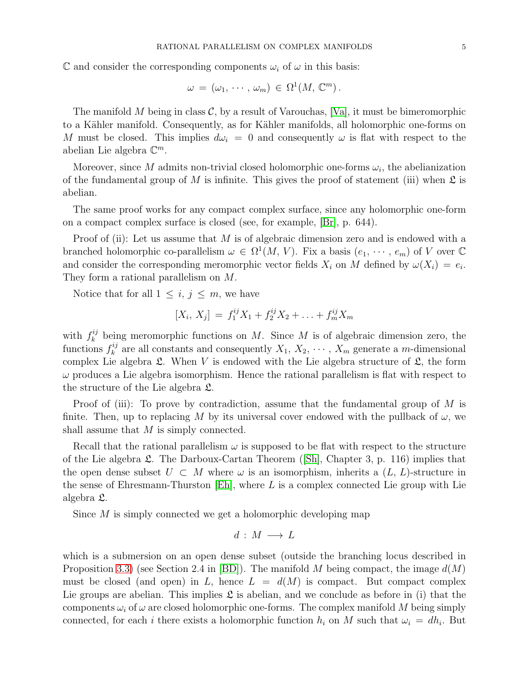C and consider the corresponding components  $\omega_i$  of  $\omega$  in this basis:

$$
\omega = (\omega_1, \cdots, \omega_m) \in \Omega^1(M, \mathbb{C}^m).
$$

The manifold M being in class  $\mathcal{C}$ , by a result of Varouchas, [\[Va\]](#page-7-9), it must be bimeromorphic to a Kähler manifold. Consequently, as for Kähler manifolds, all holomorphic one-forms on M must be closed. This implies  $d\omega_i = 0$  and consequently  $\omega$  is flat with respect to the abelian Lie algebra  $\mathbb{C}^m$ .

Moreover, since M admits non-trivial closed holomorphic one-forms  $\omega_i$ , the abelianization of the fundamental group of M is infinite. This gives the proof of statement (iii) when  $\mathfrak L$  is abelian.

The same proof works for any compact complex surface, since any holomorphic one-form on a compact complex surface is closed (see, for example, [\[Br\]](#page-7-10), p. 644).

Proof of (ii): Let us assume that  $M$  is of algebraic dimension zero and is endowed with a branched holomorphic co-parallelism  $\omega \in \Omega^1(M, V)$ . Fix a basis  $(e_1, \dots, e_m)$  of V over  $\mathbb C$ and consider the corresponding meromorphic vector fields  $X_i$  on M defined by  $\omega(X_i) = e_i$ . They form a rational parallelism on M.

Notice that for all  $1 \leq i, j \leq m$ , we have

$$
[X_i, X_j] = f_1^{ij} X_1 + f_2^{ij} X_2 + \ldots + f_m^{ij} X_m
$$

with  $f_k^{ij}$  $\mu_k^{ij}$  being meromorphic functions on M. Since M is of algebraic dimension zero, the functions  $f_k^{ij}$  $k_k^{ij}$  are all constants and consequently  $X_1, X_2, \cdots, X_m$  generate a m-dimensional complex Lie algebra  $\mathfrak{L}$ . When V is endowed with the Lie algebra structure of  $\mathfrak{L}$ , the form  $\omega$  produces a Lie algebra isomorphism. Hence the rational parallelism is flat with respect to the structure of the Lie algebra L.

Proof of (iii): To prove by contradiction, assume that the fundamental group of M is finite. Then, up to replacing M by its universal cover endowed with the pullback of  $\omega$ , we shall assume that M is simply connected.

Recall that the rational parallelism  $\omega$  is supposed to be flat with respect to the structure ofthe Lie algebra  $\mathfrak{L}$ . The Darboux-Cartan Theorem ([\[Sh\]](#page-7-2), Chapter 3, p. 116) implies that the open dense subset  $U \subset M$  where  $\omega$  is an isomorphism, inherits a  $(L, L)$ -structure in the sense of Ehresmann-Thurston  $[Eh]$ , where L is a complex connected Lie group with Lie algebra L.

Since M is simply connected we get a holomorphic developing map

$$
d\,:\,M\,\longrightarrow\,L
$$

which is a submersion on an open dense subset (outside the branching locus described in Proposition [3.3\)](#page-3-0) (see Section 2.4 in [\[BD\]](#page-7-6)). The manifold M being compact, the image  $d(M)$ must be closed (and open) in L, hence  $L = d(M)$  is compact. But compact complex Lie groups are abelian. This implies  $\mathfrak L$  is abelian, and we conclude as before in (i) that the components  $\omega_i$  of  $\omega$  are closed holomorphic one-forms. The complex manifold M being simply connected, for each i there exists a holomorphic function  $h_i$  on M such that  $\omega_i = dh_i$ . But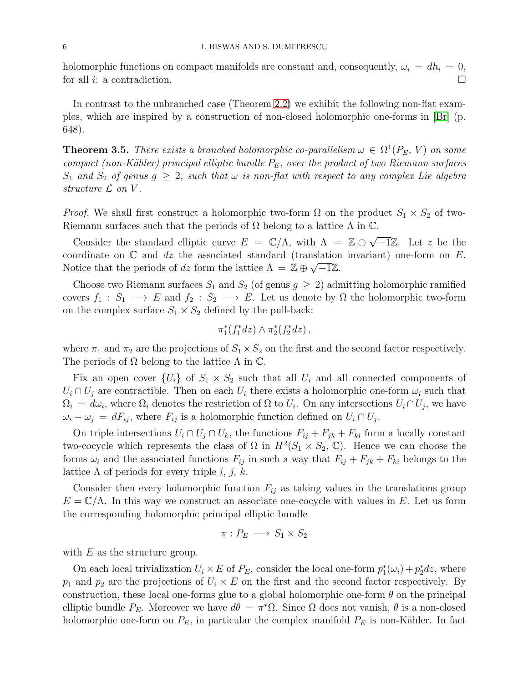holomorphic functions on compact manifolds are constant and, consequently,  $\omega_i = dh_i = 0$ , for all i: a contradiction.  $\Box$ 

In contrast to the unbranched case (Theorem [2.2\)](#page-1-1) we exhibit the following non-flat examples, which are inspired by a construction of non-closed holomorphic one-forms in [\[Br\]](#page-7-10) (p. 648).

<span id="page-5-0"></span>**Theorem 3.5.** There exists a branched holomorphic co-parallelism  $\omega \in \Omega^1(P_E, V)$  on some compact (non-Kähler) principal elliptic bundle  $P_E$ , over the product of two Riemann surfaces  $S_1$  and  $S_2$  of genus  $g \geq 2$ , such that  $\omega$  is non-flat with respect to any complex Lie algebra structure  $\mathcal L$  on  $V$ .

*Proof.* We shall first construct a holomorphic two-form  $\Omega$  on the product  $S_1 \times S_2$  of two-Riemann surfaces such that the periods of  $\Omega$  belong to a lattice  $\Lambda$  in  $\mathbb{C}$ .

Consider the standard elliptic curve  $E = \mathbb{C}/\Lambda$ , with  $\Lambda = \mathbb{Z} \oplus \sqrt{-1}\mathbb{Z}$ . Let z be the coordinate on  $\mathbb C$  and dz the associated standard (translation invariant) one-form on E. Notice that the periods of dz form the lattice  $\Lambda = \mathbb{Z} \oplus \sqrt{-1}\mathbb{Z}$ .

Choose two Riemann surfaces  $S_1$  and  $S_2$  (of genus  $g \geq 2$ ) admitting holomorphic ramified covers  $f_1 : S_1 \longrightarrow E$  and  $f_2 : S_2 \longrightarrow E$ . Let us denote by  $\Omega$  the holomorphic two-form on the complex surface  $S_1 \times S_2$  defined by the pull-back:

$$
\pi_1^*(f_1^*dz) \wedge \pi_2^*(f_2^*dz),
$$

where  $\pi_1$  and  $\pi_2$  are the projections of  $S_1 \times S_2$  on the first and the second factor respectively. The periods of  $\Omega$  belong to the lattice  $\Lambda$  in  $\mathbb{C}$ .

Fix an open cover  $\{U_i\}$  of  $S_1 \times S_2$  such that all  $U_i$  and all connected components of  $U_i \cap U_j$  are contractible. Then on each  $U_i$  there exists a holomorphic one-form  $\omega_i$  such that  $\Omega_i = d\omega_i$ , where  $\Omega_i$  denotes the restriction of  $\Omega$  to  $U_i$ . On any intersections  $U_i \cap U_j$ , we have  $\omega_i - \omega_j = dF_{ij}$ , where  $F_{ij}$  is a holomorphic function defined on  $U_i \cap U_j$ .

On triple intersections  $U_i \cap U_j \cap U_k$ , the functions  $F_{ij} + F_{jk} + F_{ki}$  form a locally constant two-cocycle which represents the class of  $\Omega$  in  $H^2(S_1 \times S_2, \mathbb{C})$ . Hence we can choose the forms  $\omega_i$  and the associated functions  $F_{ij}$  in such a way that  $F_{ij} + F_{jk} + F_{ki}$  belongs to the lattice  $\Lambda$  of periods for every triple i, j, k.

Consider then every holomorphic function  $F_{ij}$  as taking values in the translations group  $E = \mathbb{C}/\Lambda$ . In this way we construct an associate one-cocycle with values in E. Let us form the corresponding holomorphic principal elliptic bundle

$$
\pi: P_E \longrightarrow S_1 \times S_2
$$

with  $E$  as the structure group.

On each local trivialization  $U_i \times E$  of  $P_E$ , consider the local one-form  $p_1^*(\omega_i) + p_2^* dz$ , where  $p_1$  and  $p_2$  are the projections of  $U_i \times E$  on the first and the second factor respectively. By construction, these local one-forms glue to a global holomorphic one-form  $\theta$  on the principal elliptic bundle  $P_E$ . Moreover we have  $d\theta = \pi^*\Omega$ . Since  $\Omega$  does not vanish,  $\theta$  is a non-closed holomorphic one-form on  $P_E$ , in particular the complex manifold  $P_E$  is non-Kähler. In fact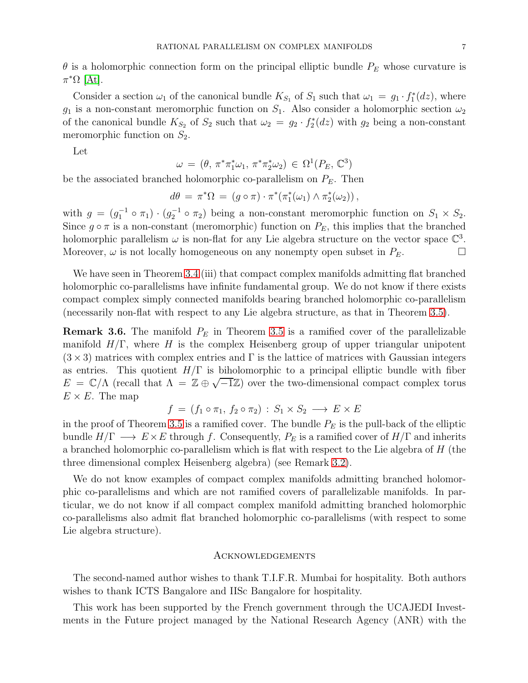$\theta$  is a holomorphic connection form on the principal elliptic bundle  $P_E$  whose curvature is  $\pi^*\Omega$  [\[At\]](#page-7-11).

Consider a section  $\omega_1$  of the canonical bundle  $K_{S_1}$  of  $S_1$  such that  $\omega_1 = g_1 \cdot f_1^*(dz)$ , where  $g_1$  is a non-constant meromorphic function on  $S_1$ . Also consider a holomorphic section  $\omega_2$ of the canonical bundle  $K_{S_2}$  of  $S_2$  such that  $\omega_2 = g_2 \cdot f_2^*(dz)$  with  $g_2$  being a non-constant meromorphic function on  $S_2$ .

Let

$$
\omega = (\theta, \pi^* \pi_1^* \omega_1, \pi^* \pi_2^* \omega_2) \in \Omega^1(P_E, \mathbb{C}^3)
$$

be the associated branched holomorphic co-parallelism on  $P_E$ . Then

$$
d\theta = \pi^*\Omega = (g \circ \pi) \cdot \pi^*(\pi_1^*(\omega_1) \wedge \pi_2^*(\omega_2)),
$$

with  $g = (g_1^{-1} \circ \pi_1) \cdot (g_2^{-1} \circ \pi_2)$  being a non-constant meromorphic function on  $S_1 \times S_2$ . Since  $g \circ \pi$  is a non-constant (meromorphic) function on  $P_E$ , this implies that the branched holomorphic parallelism  $\omega$  is non-flat for any Lie algebra structure on the vector space  $\mathbb{C}^3$ . Moreover,  $\omega$  is not locally homogeneous on any nonempty open subset in  $P_E$ .

We have seen in Theorem [3.4](#page-3-1) (iii) that compact complex manifolds admitting flat branched holomorphic co-parallelisms have infinite fundamental group. We do not know if there exists compact complex simply connected manifolds bearing branched holomorphic co-parallelism (necessarily non-flat with respect to any Lie algebra structure, as that in Theorem [3.5\)](#page-5-0).

**Remark 3.6.** The manifold  $P_E$  in Theorem [3.5](#page-5-0) is a ramified cover of the parallelizable manifold  $H/\Gamma$ , where H is the complex Heisenberg group of upper triangular unipotent  $(3 \times 3)$  matrices with complex entries and  $\Gamma$  is the lattice of matrices with Gaussian integers as entries. This quotient  $H/\Gamma$  is biholomorphic to a principal elliptic bundle with fiber  $E = \mathbb{C}/\Lambda$  (recall that  $\Lambda = \mathbb{Z} \oplus \sqrt{-1}\mathbb{Z}$ ) over the two-dimensional compact complex torus  $E \times E$ . The map

$$
f = (f_1 \circ \pi_1, f_2 \circ \pi_2) : S_1 \times S_2 \longrightarrow E \times E
$$

in the proof of Theorem [3.5](#page-5-0) is a ramified cover. The bundle  $P_E$  is the pull-back of the elliptic bundle  $H/\Gamma \longrightarrow E \times E$  through f. Consequently,  $P_E$  is a ramified cover of  $H/\Gamma$  and inherits a branched holomorphic co-parallelism which is flat with respect to the Lie algebra of  $H$  (the three dimensional complex Heisenberg algebra) (see Remark [3.2\)](#page-3-2).

We do not know examples of compact complex manifolds admitting branched holomorphic co-parallelisms and which are not ramified covers of parallelizable manifolds. In particular, we do not know if all compact complex manifold admitting branched holomorphic co-parallelisms also admit flat branched holomorphic co-parallelisms (with respect to some Lie algebra structure).

#### <span id="page-6-0"></span>Acknowledgements

The second-named author wishes to thank T.I.F.R. Mumbai for hospitality. Both authors wishes to thank ICTS Bangalore and IISc Bangalore for hospitality.

This work has been supported by the French government through the UCAJEDI Investments in the Future project managed by the National Research Agency (ANR) with the